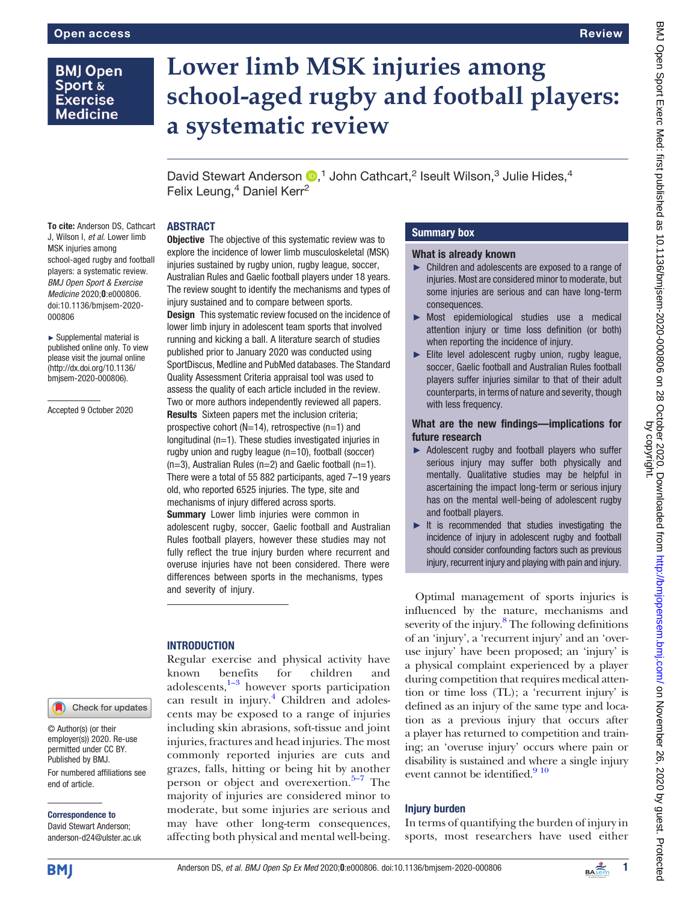## **BMJ Open** Sport & **Exercise Medicine**

# Lower limb MSK injuries among school-aged rugby and football players: a systematic review

David Stewart Anderson  $\mathbb{D}$ ,<sup>1</sup> John Cathcart,<sup>2</sup> Iseult Wilson,<sup>3</sup> Julie Hides,<sup>4</sup> Felix Leung,<sup>4</sup> Daniel Kerr<sup>2</sup>

## ABSTRACT

To cite: Anderson DS, Cathcart J, Wilson I, et al. Lower limb MSK injuries among school-aged rugby and football players: a systematic review. BMJ Open Sport & Exercise Medicine 2020;0:e000806. doi:10.1136/bmjsem-2020- 000806

► Supplemental material is published online only. To view please visit the journal online ([http://dx.doi.org/10.1136/](http://dx.doi.org/10.1136/bmjsem-2020-000806) [bmjsem-2020-000806](http://dx.doi.org/10.1136/bmjsem-2020-000806)).

Accepted 9 October 2020

## Check for updates

© Author(s) (or their employer(s)) 2020. Re-use permitted under CC BY. Published by BMJ. For numbered affiliations see end of article.

#### Correspondence to

David Stewart Anderson; anderson-d24@ulster.ac.uk **Objective** The objective of this systematic review was to explore the incidence of lower limb musculoskeletal (MSK) injuries sustained by rugby union, rugby league, soccer, Australian Rules and Gaelic football players under 18 years. The review sought to identify the mechanisms and types of injury sustained and to compare between sports. **Design** This systematic review focused on the incidence of lower limb injury in adolescent team sports that involved running and kicking a ball. A literature search of studies published prior to January 2020 was conducted using SportDiscus, Medline and PubMed databases. The Standard Quality Assessment Criteria appraisal tool was used to assess the quality of each article included in the review. Two or more authors independently reviewed all papers. Results Sixteen papers met the inclusion criteria; prospective cohort ( $N=14$ ), retrospective ( $n=1$ ) and longitudinal (n=1). These studies investigated injuries in rugby union and rugby league (n=10), football (soccer)  $(n=3)$ , Australian Rules  $(n=2)$  and Gaelic football  $(n=1)$ . There were a total of 55 882 participants, aged 7–19 years

old, who reported 6525 injuries. The type, site and mechanisms of injury differed across sports. **Summary** Lower limb injuries were common in adolescent rugby, soccer, Gaelic football and Australian Rules football players, however these studies may not fully reflect the true injury burden where recurrent and overuse injuries have not been considered. There were differences between sports in the mechanisms, types and severity of injury.

## **INTRODUCTION**

Regular exercise and physical activity have known b[ene](#page-6-0)fits for children and adolescents, $1-3$  however sports participation can result in injury.<sup>[4](#page-6-1)</sup> Children and adolescents may be exposed to a range of injuries including skin abrasions, soft-tissue and joint injuries, fractures and head injuries. The most commonly reported injuries are cuts and grazes, falls, hitting or being hit by [ano](#page-6-2)ther person or object and overexertion. $5-7$  The majority of injuries are considered minor to moderate, but some injuries are serious and may have other long-term consequences, affecting both physical and mental well-being.

## Summary box

#### What is already known

- ► Children and adolescents are exposed to a range of injuries. Most are considered minor to moderate, but some injuries are serious and can have long-term consequences.
- ► Most epidemiological studies use a medical attention injury or time loss definition (or both) when reporting the incidence of injury.
- ► Elite level adolescent rugby union, rugby league, soccer, Gaelic football and Australian Rules football players suffer injuries similar to that of their adult counterparts, in terms of nature and severity, though with less frequency.

## What are the new findings—implications for future research

- ► Adolescent rugby and football players who suffer serious injury may suffer both physically and mentally. Qualitative studies may be helpful in ascertaining the impact long-term or serious injury has on the mental well-being of adolescent rugby and football players.
- ► It is recommended that studies investigating the incidence of injury in adolescent rugby and football should consider confounding factors such as previous injury, recurrent injury and playing with pain and injury.

Optimal management of sports injuries is influenced by the nature, mechanisms and severity of the injury.<sup>8</sup> The following definitions of an 'injury', a 'recurrent injury' and an 'overuse injury' have been proposed; an 'injury' is a physical complaint experienced by a player during competition that requires medical attention or time loss (TL); a 'recurrent injury' is defined as an injury of the same type and location as a previous injury that occurs after a player has returned to competition and training; an 'overuse injury' occurs where pain or disability is sustained and where a single injury event cannot be identified. $910$ 

## **Injury burden**

In terms of quantifying the burden of injury in sports, most researchers have used either

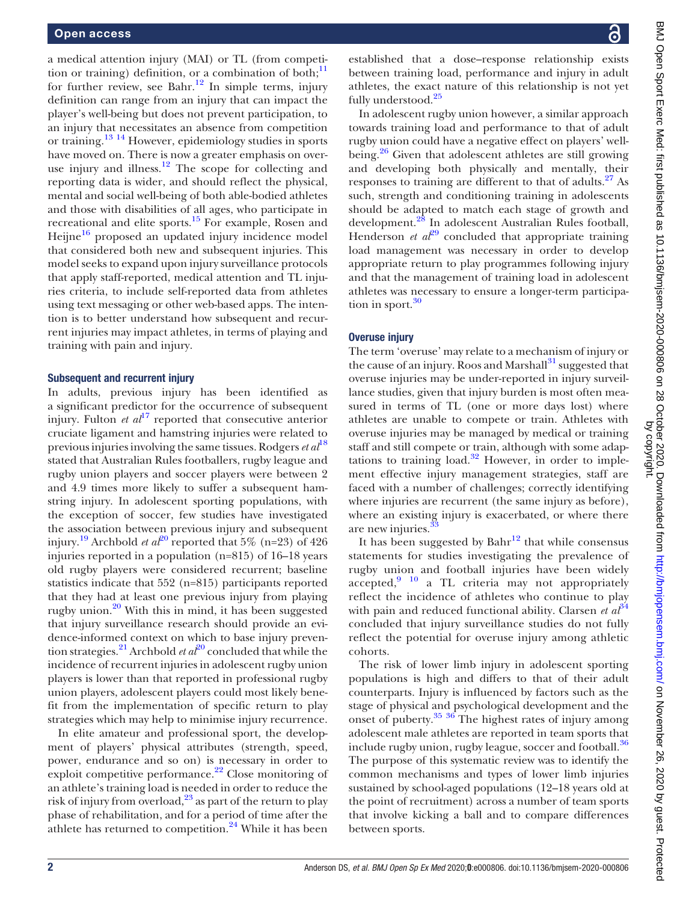a medical attention injury (MAI) or TL (from competition or training) definition, or a combination of both; $<sup>11</sup>$  $<sup>11</sup>$  $<sup>11</sup>$ </sup> for further review, see Bahr.<sup>[12](#page-6-6)</sup> In simple terms, injury definition can range from an injury that can impact the player's well-being but does not prevent participation, to an injury that necessitates an absence from competition or training.[13 14](#page-6-7) However, epidemiology studies in sports have moved on. There is now a greater emphasis on overuse injury and illness. $12$  The scope for collecting and reporting data is wider, and should reflect the physical, mental and social well-being of both able-bodied athletes and those with disabilities of all ages, who participate in recreational and elite sports.<sup>[15](#page-6-8)</sup> For example, Rosen and Heijne $16$  proposed an updated injury incidence model that considered both new and subsequent injuries. This model seeks to expand upon injury surveillance protocols that apply staff-reported, medical attention and TL injuries criteria, to include self-reported data from athletes using text messaging or other web-based apps. The intention is to better understand how subsequent and recurrent injuries may impact athletes, in terms of playing and training with pain and injury.

#### Subsequent and recurrent injury

In adults, previous injury has been identified as a significant predictor for the occurrence of subsequent injury. Fulton *et*  $al^{17}$  $al^{17}$  $al^{17}$  reported that consecutive anterior cruciate ligament and hamstring injuries were related to previous injuries involving the same tissues. Rodgers  $et al^{18}$  $et al^{18}$  $et al^{18}$ stated that Australian Rules footballers, rugby league and rugby union players and soccer players were between 2 and 4.9 times more likely to suffer a subsequent hamstring injury. In adolescent sporting populations, with the exception of soccer, few studies have investigated the association between previous injury and subsequent injury.<sup>[19](#page-6-12)</sup> Archbold *et al*<sup>[20](#page-6-13)</sup> reported that 5% (n=23) of 426 injuries reported in a population (n=815) of 16–18 years old rugby players were considered recurrent; baseline statistics indicate that 552 (n=815) participants reported that they had at least one previous injury from playing rugby union.<sup>[20](#page-6-13)</sup> With this in mind, it has been suggested that injury surveillance research should provide an evidence-informed context on which to base injury preven-tion strategies.<sup>[21](#page-6-14)</sup> Archbold *et al*<sup>[20](#page-6-13)</sup> concluded that while the incidence of recurrent injuries in adolescent rugby union players is lower than that reported in professional rugby union players, adolescent players could most likely benefit from the implementation of specific return to play strategies which may help to minimise injury recurrence.

In elite amateur and professional sport, the development of players' physical attributes (strength, speed, power, endurance and so on) is necessary in order to exploit competitive performance.<sup>[22](#page-6-15)</sup> Close monitoring of an athlete's training load is needed in order to reduce the risk of injury from overload, $^{23}$  as part of the return to play phase of rehabilitation, and for a period of time after the athlete has returned to competition.<sup>24</sup> While it has been

established that a dose–response relationship exists between training load, performance and injury in adult athletes, the exact nature of this relationship is not yet fully understood.<sup>[25](#page-6-18)</sup>

In adolescent rugby union however, a similar approach towards training load and performance to that of adult rugby union could have a negative effect on players' well-being.<sup>[26](#page-6-19)</sup> Given that adolescent athletes are still growing and developing both physically and mentally, their responses to training are different to that of adults.<sup>27</sup> As such, strength and conditioning training in adolescents should be adapted to match each stage of growth and development.<sup>[28](#page-7-1)</sup> In adolescent Australian Rules football, Henderson *et al*<sup>[29](#page-7-2)</sup> concluded that appropriate training load management was necessary in order to develop appropriate return to play programmes following injury and that the management of training load in adolescent athletes was necessary to ensure a longer-term participation in sport. $30$ 

## Overuse injury

The term 'overuse' may relate to a mechanism of injury or the cause of an injury. Roos and Marshall $^{31}$  $^{31}$  $^{31}$  suggested that overuse injuries may be under-reported in injury surveillance studies, given that injury burden is most often measured in terms of TL (one or more days lost) where athletes are unable to compete or train. Athletes with overuse injuries may be managed by medical or training staff and still compete or train, although with some adaptations to training load. $32$  However, in order to implement effective injury management strategies, staff are faced with a number of challenges; correctly identifying where injuries are recurrent (the same injury as before), where an existing injury is exacerbated, or where there are new injuries.<sup>3</sup>

It has been suggested by  $Bahr^{12}$  $Bahr^{12}$  $Bahr^{12}$  that while consensus statements for studies investigating the prevalence of rugby union and football injuries have been widely accepted, $9\quad10}$  a TL criteria may not appropriately reflect the incidence of athletes who continue to play with pain and reduced functional ability. Clarsen et  $a<sup>{\beta}4</sup>$ concluded that injury surveillance studies do not fully reflect the potential for overuse injury among athletic cohorts.

The risk of lower limb injury in adolescent sporting populations is high and differs to that of their adult counterparts. Injury is influenced by factors such as the stage of physical and psychological development and the onset of puberty.<sup>35</sup> <sup>36</sup> The highest rates of injury among adolescent male athletes are reported in team sports that include rugby union, rugby league, soccer and football.<sup>36</sup> The purpose of this systematic review was to identify the common mechanisms and types of lower limb injuries sustained by school-aged populations (12–18 years old at the point of recruitment) across a number of team sports that involve kicking a ball and to compare differences between sports.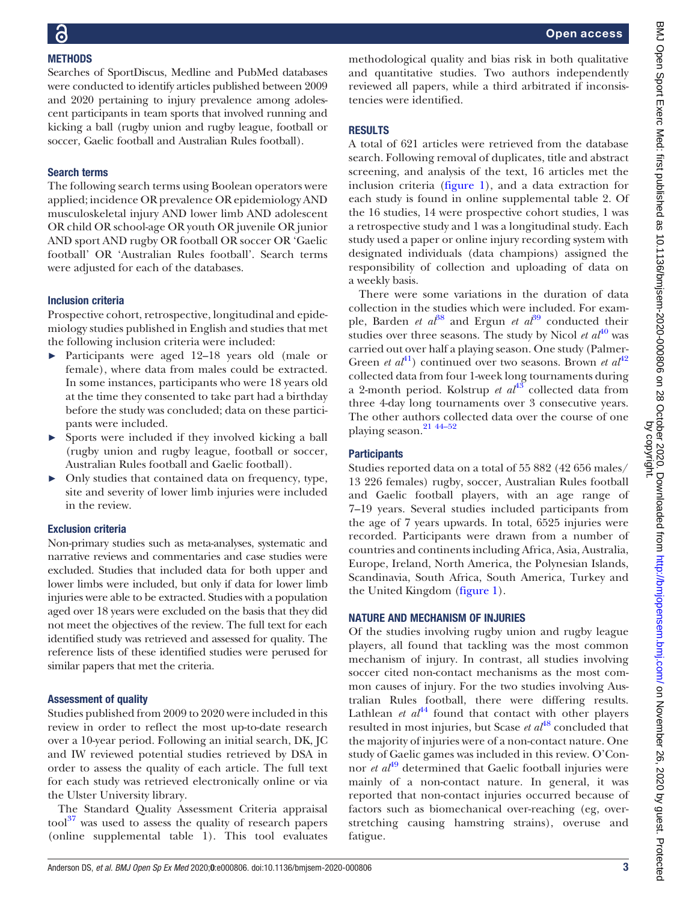## **METHODS**

Searches of SportDiscus, Medline and PubMed databases were conducted to identify articles published between 2009 and 2020 pertaining to injury prevalence among adolescent participants in team sports that involved running and kicking a ball (rugby union and rugby league, football or soccer, Gaelic football and Australian Rules football).

## Search terms

The following search terms using Boolean operators were applied; incidence OR prevalence OR epidemiology AND musculoskeletal injury AND lower limb AND adolescent OR child OR school-age OR youth OR juvenile OR junior AND sport AND rugby OR football OR soccer OR 'Gaelic football' OR 'Australian Rules football'. Search terms were adjusted for each of the databases.

## Inclusion criteria

Prospective cohort, retrospective, longitudinal and epidemiology studies published in English and studies that met the following inclusion criteria were included:

- ► Participants were aged 12–18 years old (male or female), where data from males could be extracted. In some instances, participants who were 18 years old at the time they consented to take part had a birthday before the study was concluded; data on these participants were included.
- ► Sports were included if they involved kicking a ball (rugby union and rugby league, football or soccer, Australian Rules football and Gaelic football).
- Only studies that contained data on frequency, type, site and severity of lower limb injuries were included in the review.

## Exclusion criteria

Non-primary studies such as meta-analyses, systematic and narrative reviews and commentaries and case studies were excluded. Studies that included data for both upper and lower limbs were included, but only if data for lower limb injuries were able to be extracted. Studies with a population aged over 18 years were excluded on the basis that they did not meet the objectives of the review. The full text for each identified study was retrieved and assessed for quality. The reference lists of these identified studies were perused for similar papers that met the criteria.

## Assessment of quality

Studies published from 2009 to 2020 were included in this review in order to reflect the most up-to-date research over a 10-year period. Following an initial search, DK, JC and IW reviewed potential studies retrieved by DSA in order to assess the quality of each article. The full text for each study was retrieved electronically online or via the Ulster University library.

The Standard Quality Assessment Criteria appraisal tool<sup>37</sup> was used to assess the quality of research papers [\(online supplemental table 1](https://dx.doi.org/10.1136/bmjsem-2020-000806)). This tool evaluates

methodological quality and bias risk in both qualitative and quantitative studies. Two authors independently reviewed all papers, while a third arbitrated if inconsistencies were identified.

## RESULTS

A total of 621 articles were retrieved from the database search. Following removal of duplicates, title and abstract screening, and analysis of the text, 16 articles met the inclusion criteria [\(figure 1\)](#page-3-0), and a data extraction for each study is found in [online supplemental table 2.](https://dx.doi.org/10.1136/bmjsem-2020-000806) Of the 16 studies, 14 were prospective cohort studies, 1 was a retrospective study and 1 was a longitudinal study. Each study used a paper or online injury recording system with designated individuals (data champions) assigned the responsibility of collection and uploading of data on a weekly basis.

There were some variations in the duration of data collection in the studies which were included. For example, Barden *et al*<sup>[38](#page-7-11)</sup> and Ergun *et al*<sup>[39](#page-7-12)</sup> conducted their studies over three seasons. The study by Nicol et  $a t^{40}$  $a t^{40}$  $a t^{40}$  was carried out over half a playing season. One study (Palmer-Green *et al*<sup>[41](#page-7-14)</sup>) continued over two seasons. Brown *et al*<sup>[42](#page-7-15)</sup> collected data from four 1-week long tournaments during a 2-month period. Kolstrup et  $al^{43}$  $al^{43}$  $al^{43}$  collected data from three 4-day long tournaments over 3 consecutive years. The other authors collected data over the course of one playing season.<sup>21</sup> <sup>44-52</sup>

## **Participants**

Studies reported data on a total of 55 882 (42 656 males/ 13 226 females) rugby, soccer, Australian Rules football and Gaelic football players, with an age range of 7–19 years. Several studies included participants from the age of 7 years upwards. In total, 6525 injuries were recorded. Participants were drawn from a number of countries and continents including Africa, Asia, Australia, Europe, Ireland, North America, the Polynesian Islands, Scandinavia, South Africa, South America, Turkey and the United Kingdom ([figure 1](#page-3-0)).

## NATURE AND MECHANISM OF INJURIES

Of the studies involving rugby union and rugby league players, all found that tackling was the most common mechanism of injury. In contrast, all studies involving soccer cited non-contact mechanisms as the most common causes of injury. For the two studies involving Australian Rules football, there were differing results. Lathlean *et al*<sup>[44](#page-7-17)</sup> found that contact with other players resulted in most injuries, but Scase  $et\ a^{48}$  $et\ a^{48}$  $et\ a^{48}$  concluded that the majority of injuries were of a non-contact nature. One study of Gaelic games was included in this review. O'Connor *et al*<sup>[49](#page-7-19)</sup> determined that Gaelic football injuries were mainly of a non-contact nature. In general, it was reported that non-contact injuries occurred because of factors such as biomechanical over-reaching (eg, overstretching causing hamstring strains), overuse and fatigue.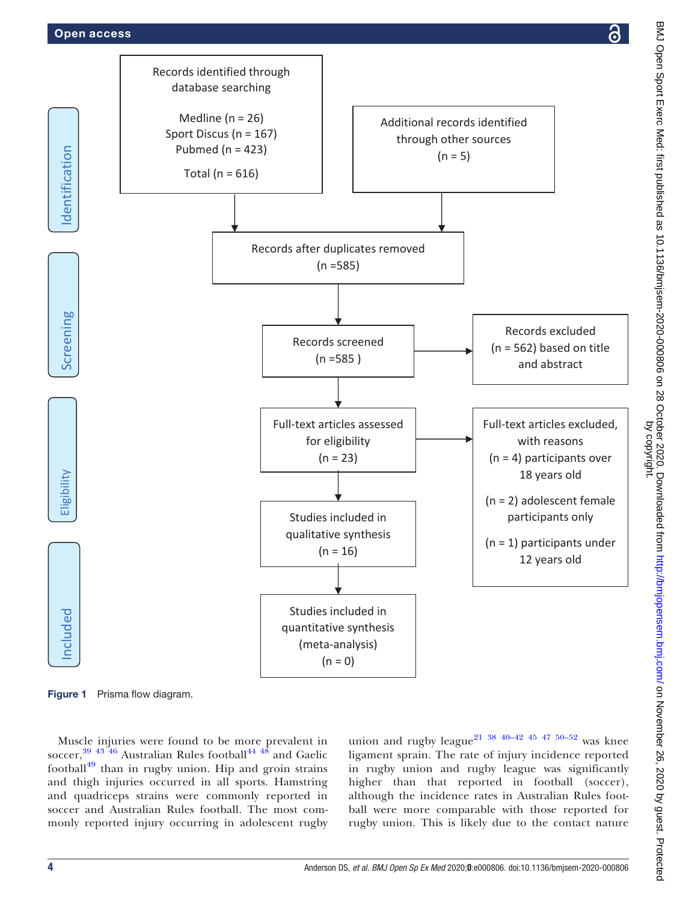## <span id="page-3-0"></span>Open access

Screening

Identification

Included Eligibility Screening Screening Identification

ligibility 冨

ncluded







Muscle injuries were found to be more prevalent in soccer, $^{39}$   $^{43}$   $^{46}$  Australian Rules football $^{44}$   $^{48}$  and Gaelic football $^{49}$  $^{49}$  $^{49}$  than in rugby union. Hip and groin strains and thigh injuries occurred in all sports. Hamstring and quadriceps strains were commonly reported in soccer and Australian Rules football. The most commonly reported injury occurring in adolescent rugby union and rugby league<sup>21</sup> <sup>38</sup> <sup>40–42</sup> <sup>45</sup> <sup>47</sup> <sup>50–52</sup> was knee ligament sprain. The rate of injury incidence reported in rugby union and rugby league was significantly higher than that reported in football (soccer), although the incidence rates in Australian Rules football were more comparable with those reported for rugby union. This is likely due to the contact nature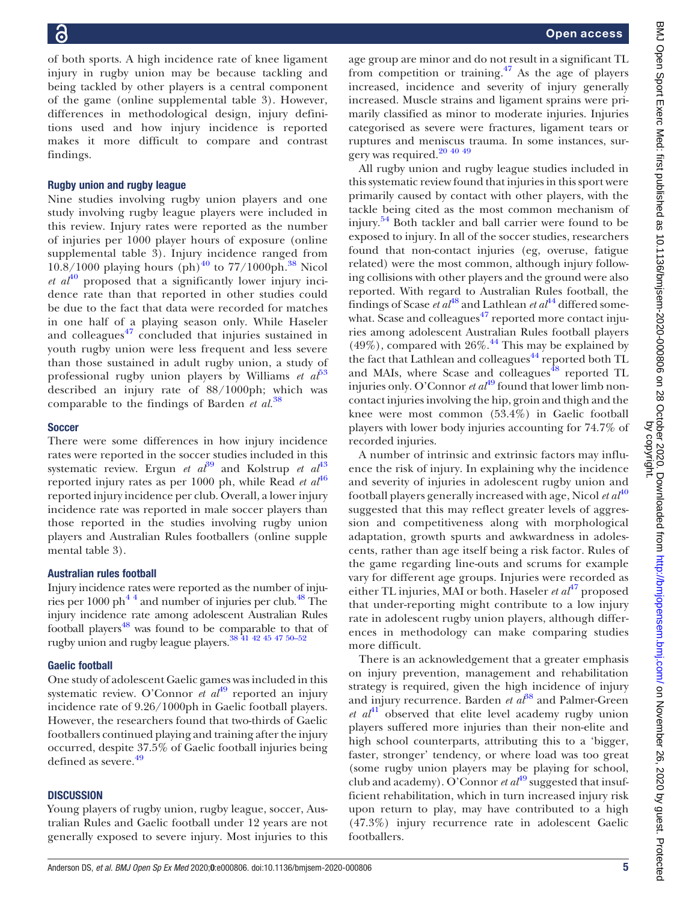of both sports. A high incidence rate of knee ligament injury in rugby union may be because tackling and being tackled by other players is a central component of the game ([online supplemental table 3](https://dx.doi.org/10.1136/bmjsem-2020-000806)). However, differences in methodological design, injury definitions used and how injury incidence is reported makes it more difficult to compare and contrast findings.

#### Rugby union and rugby league

Nine studies involving rugby union players and one study involving rugby league players were included in this review. Injury rates were reported as the number of injuries per 1000 player hours of exposure ([online](https://dx.doi.org/10.1136/bmjsem-2020-000806) [supplemental table 3\)](https://dx.doi.org/10.1136/bmjsem-2020-000806). Injury incidence ranged from  $10.8/1000$  playing hours (ph)<sup>[40](#page-7-13)</sup> to 77/1000ph.<sup>[38](#page-7-11)</sup> Nicol et  $a t^{40}$  $a t^{40}$  $a t^{40}$  proposed that a significantly lower injury incidence rate than that reported in other studies could be due to the fact that data were recorded for matches in one half of a playing season only. While Haseler and colleagues $47$  concluded that injuries sustained in youth rugby union were less frequent and less severe than those sustained in adult rugby union, a study of professional rugby union players by Williams et  $a\bar{b}^3$ described an injury rate of 88/1000ph; which was comparable to the findings of Barden *et al.*<sup>[38](#page-7-11)</sup>

#### **Soccer**

There were some differences in how injury incidence rates were reported in the soccer studies included in this systematic review. Ergun et  $a t^{39}$  $a t^{39}$  $a t^{39}$  and Kolstrup et  $a t^{43}$  $a t^{43}$  $a t^{43}$ reported injury rates as per 1000 ph, while Read et  $aI^{46}$  $aI^{46}$  $aI^{46}$ reported injury incidence per club. Overall, a lower injury incidence rate was reported in male soccer players than those reported in the studies involving rugby union players and Australian Rules footballers [\(online supple](https://dx.doi.org/10.1136/bmjsem-2020-000806) [mental table 3](https://dx.doi.org/10.1136/bmjsem-2020-000806)).

## Australian rules football

Injury incidence rates were reported as the number of injuries per 1000 ph<sup>44</sup> and number of injuries per club.<sup>48</sup> The injury incidence rate among adolescent Australian Rules football players<sup>48</sup> was found to be comparable to that of rugby union and rugby league players[.38 41 42 45 47 50](#page-7-11)–<sup>52</sup>

## Gaelic football

One study of adolescent Gaelic games was included in this systematic review. O'Connor et  $a t^{49}$  $a t^{49}$  $a t^{49}$  reported an injury incidence rate of 9.26/1000ph in Gaelic football players. However, the researchers found that two-thirds of Gaelic footballers continued playing and training after the injury occurred, despite 37.5% of Gaelic football injuries being defined as severe.<sup>[49](#page-7-19)</sup>

## **DISCUSSION**

Young players of rugby union, rugby league, soccer, Australian Rules and Gaelic football under 12 years are not generally exposed to severe injury. Most injuries to this

age group are minor and do not result in a significant TL from competition or training. $47$  As the age of players increased, incidence and severity of injury generally increased. Muscle strains and ligament sprains were primarily classified as minor to moderate injuries. Injuries categorised as severe were fractures, ligament tears or ruptures and meniscus trauma. In some instances, surgery was required.<sup>20</sup> 40 49

All rugby union and rugby league studies included in this systematic review found that injuries in this sport were primarily caused by contact with other players, with the tackle being cited as the most common mechanism of injury.<sup>[54](#page-7-23)</sup> Both tackler and ball carrier were found to be exposed to injury. In all of the soccer studies, researchers found that non-contact injuries (eg, overuse, fatigue related) were the most common, although injury following collisions with other players and the ground were also reported. With regard to Australian Rules football, the findings of Scase et  $a^{48}$  $a^{48}$  $a^{48}$  and Lathlean et  $a^{44}$  $a^{44}$  $a^{44}$  differed somewhat. Scase and colleagues $47$  reported more contact injuries among adolescent Australian Rules football players  $(49\%)$ , compared with  $26\%$ .<sup>[44](#page-7-17)</sup> This may be explained by the fact that Lathlean and colleagues<sup>[44](#page-7-17)</sup> reported both TL and MAIs, where Scase and colleagues<sup> $48$ </sup> reported TL injuries only. O'Connor et  $al^{49}$  $al^{49}$  $al^{49}$  found that lower limb noncontact injuries involving the hip, groin and thigh and the knee were most common (53.4%) in Gaelic football players with lower body injuries accounting for 74.7% of recorded injuries.

A number of intrinsic and extrinsic factors may influence the risk of injury. In explaining why the incidence and severity of injuries in adolescent rugby union and football players generally increased with age, Nicol  $et\ a_1^{40}$  $et\ a_1^{40}$  $et\ a_1^{40}$ suggested that this may reflect greater levels of aggression and competitiveness along with morphological adaptation, growth spurts and awkwardness in adolescents, rather than age itself being a risk factor. Rules of the game regarding line-outs and scrums for example vary for different age groups. Injuries were recorded as either TL injuries, MAI or both. Haseler et  $al^{47}$  $al^{47}$  $al^{47}$  proposed that under-reporting might contribute to a low injury rate in adolescent rugby union players, although differences in methodology can make comparing studies more difficult.

There is an acknowledgement that a greater emphasis on injury prevention, management and rehabilitation strategy is required, given the high incidence of injury and injury recurrence. Barden *et*  $a^{88}$  and Palmer-Green et  $a^{41}$  $a^{41}$  $a^{41}$  observed that elite level academy rugby union players suffered more injuries than their non-elite and high school counterparts, attributing this to a 'bigger, faster, stronger' tendency, or where load was too great (some rugby union players may be playing for school, club and academy). O'Connor et  $a t^{49}$  $a t^{49}$  $a t^{49}$  suggested that insufficient rehabilitation, which in turn increased injury risk upon return to play, may have contributed to a high (47.3%) injury recurrence rate in adolescent Gaelic footballers.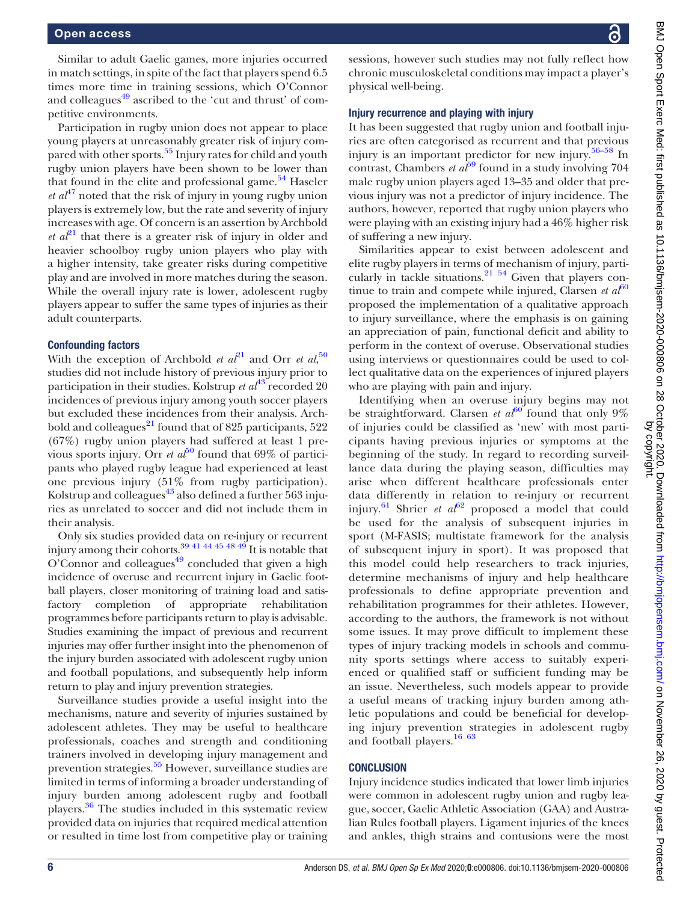Similar to adult Gaelic games, more injuries occurred in match settings, in spite of the fact that players spend 6.5 times more time in training sessions, which O'Connor and colleagues<sup>[49](#page-7-19)</sup> ascribed to the 'cut and thrust' of competitive environments.

Participation in rugby union does not appear to place young players at unreasonably greater risk of injury com-pared with other sports.<sup>[55](#page-7-24)</sup> Injury rates for child and youth rugby union players have been shown to be lower than that found in the elite and professional game.<sup>54</sup> Haseler *et al*<sup>[47](#page-7-20)</sup> noted that the risk of injury in young rugby union players is extremely low, but the rate and severity of injury increases with age. Of concern is an assertion by Archbold *et a*<sup> $21$ </sup> that there is a greater risk of injury in older and heavier schoolboy rugby union players who play with a higher intensity, take greater risks during competitive play and are involved in more matches during the season. While the overall injury rate is lower, adolescent rugby players appear to suffer the same types of injuries as their adult counterparts.

#### Confounding factors

With the exception of Archbold *et al*<sup>[21](#page-6-14)</sup> and Orr *et al*,<sup>[50](#page-7-25)</sup> studies did not include history of previous injury prior to participation in their studies. Kolstrup et  $a t^{43}$  $a t^{43}$  $a t^{43}$  recorded 20 incidences of previous injury among youth soccer players but excluded these incidences from their analysis. Archbold and colleagues $^{21}$  $^{21}$  $^{21}$  found that of 825 participants, 522 (67%) rugby union players had suffered at least 1 previous sports injury. Orr et  $a\bar{t}^{50}$  $a\bar{t}^{50}$  $a\bar{t}^{50}$  found that 69% of participants who played rugby league had experienced at least one previous injury (51% from rugby participation). Kolstrup and colleagues $43$  also defined a further 563 injuries as unrelated to soccer and did not include them in their analysis.

Only six studies provided data on re-injury or recurrent injury among their cohorts.[39 41 44 45 48 49](#page-7-12) It is notable that O'Connor and colleagues $49$  concluded that given a high incidence of overuse and recurrent injury in Gaelic football players, closer monitoring of training load and satisfactory completion of appropriate rehabilitation programmes before participants return to play is advisable. Studies examining the impact of previous and recurrent injuries may offer further insight into the phenomenon of the injury burden associated with adolescent rugby union and football populations, and subsequently help inform return to play and injury prevention strategies.

Surveillance studies provide a useful insight into the mechanisms, nature and severity of injuries sustained by adolescent athletes. They may be useful to healthcare professionals, coaches and strength and conditioning trainers involved in developing injury management and prevention strategies.<sup>55</sup> However, surveillance studies are limited in terms of informing a broader understanding of injury burden among adolescent rugby and football players.<sup>[36](#page-7-9)</sup> The studies included in this systematic review provided data on injuries that required medical attention or resulted in time lost from competitive play or training

sessions, however such studies may not fully reflect how chronic musculoskeletal conditions may impact a player's physical well-being.

#### Injury recurrence and playing with injury

It has been suggested that rugby union and football injuries are often categorised as recurrent and that previous injury is an important predictor for new injury.[56](#page-7-26)–<sup>58</sup> In contrast, Chambers et  $a\bar{t}^{9}$  found in a study involving 704 male rugby union players aged 13–35 and older that previous injury was not a predictor of injury incidence. The authors, however, reported that rugby union players who were playing with an existing injury had a 46% higher risk of suffering a new injury.

Similarities appear to exist between adolescent and elite rugby players in terms of mechanism of injury, particularly in tackle situations.<sup>21</sup> 54 Given that players continue to train and compete while injured, Clarsen et  $a<sup>f</sup>$ <sup>[60](#page-7-28)</sup> proposed the implementation of a qualitative approach to injury surveillance, where the emphasis is on gaining an appreciation of pain, functional deficit and ability to perform in the context of overuse. Observational studies using interviews or questionnaires could be used to collect qualitative data on the experiences of injured players who are playing with pain and injury.

Identifying when an overuse injury begins may not be straightforward. Clarsen et  $a^{60}$  $a^{60}$  $a^{60}$  found that only 9% of injuries could be classified as 'new' with most participants having previous injuries or symptoms at the beginning of the study. In regard to recording surveillance data during the playing season, difficulties may arise when different healthcare professionals enter data differently in relation to re-injury or recurrent injury.<sup>[61](#page-7-29)</sup> Shrier et  $a^{62}$  $a^{62}$  $a^{62}$  proposed a model that could be used for the analysis of subsequent injuries in sport (M-FASIS; multistate framework for the analysis of subsequent injury in sport). It was proposed that this model could help researchers to track injuries, determine mechanisms of injury and help healthcare professionals to define appropriate prevention and rehabilitation programmes for their athletes. However, according to the authors, the framework is not without some issues. It may prove difficult to implement these types of injury tracking models in schools and community sports settings where access to suitably experienced or qualified staff or sufficient funding may be an issue. Nevertheless, such models appear to provide a useful means of tracking injury burden among athletic populations and could be beneficial for developing injury prevention strategies in adolescent rugby and football players.<sup>[16 63](#page-6-9)</sup>

## **CONCLUSION**

Injury incidence studies indicated that lower limb injuries were common in adolescent rugby union and rugby league, soccer, Gaelic Athletic Association (GAA) and Australian Rules football players. Ligament injuries of the knees and ankles, thigh strains and contusions were the most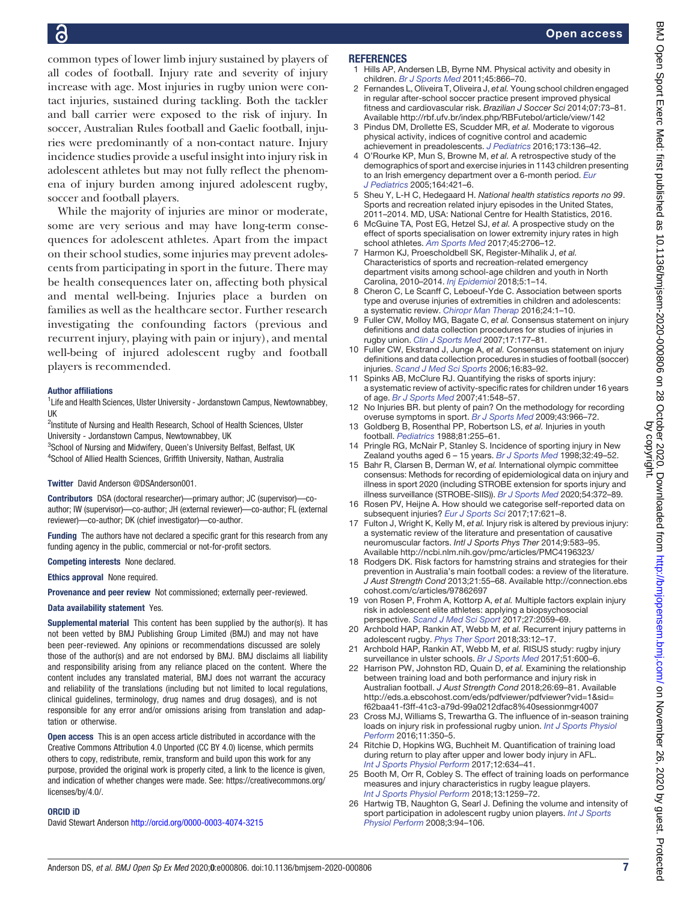common types of lower limb injury sustained by players of all codes of football. Injury rate and severity of injury increase with age. Most injuries in rugby union were contact injuries, sustained during tackling. Both the tackler and ball carrier were exposed to the risk of injury. In soccer, Australian Rules football and Gaelic football, injuries were predominantly of a non-contact nature. Injury incidence studies provide a useful insight into injury risk in adolescent athletes but may not fully reflect the phenomena of injury burden among injured adolescent rugby, soccer and football players.

While the majority of injuries are minor or moderate, some are very serious and may have long-term consequences for adolescent athletes. Apart from the impact on their school studies, some injuries may prevent adolescents from participating in sport in the future. There may be health consequences later on, affecting both physical and mental well-being. Injuries place a burden on families as well as the healthcare sector. Further research investigating the confounding factors (previous and recurrent injury, playing with pain or injury), and mental well-being of injured adolescent rugby and football players is recommended.

#### Author affiliations

<sup>1</sup> Life and Health Sciences, Ulster University - Jordanstown Campus, Newtownabbey, UK

<sup>2</sup>Institute of Nursing and Health Research, School of Health Sciences, Ulster University - Jordanstown Campus, Newtownabbey, UK

<sup>3</sup> School of Nursing and Midwifery, Queen's University Belfast, Belfast, UK<br><sup>4</sup> School of Allied Health Sciences, Griffith University, Nathan, Australia <sup>4</sup>School of Allied Health Sciences, Griffith University, Nathan, Australia

Twitter David Anderson [@DSAnderson001](http://twitter.com/DSAnderson001).

Contributors DSA (doctoral researcher)—primary author; JC (supervisor)—coauthor; IW (supervisor)—co-author; JH (external reviewer)—co-author; FL (external reviewer)—co-author; DK (chief investigator)—co-author.

Funding The authors have not declared a specific grant for this research from any funding agency in the public, commercial or not-for-profit sectors.

Competing interests None declared.

Ethics approval None required.

Provenance and peer review Not commissioned; externally peer-reviewed.

#### Data availability statement Yes.

Supplemental material This content has been supplied by the author(s). It has not been vetted by BMJ Publishing Group Limited (BMJ) and may not have been peer-reviewed. Any opinions or recommendations discussed are solely those of the author(s) and are not endorsed by BMJ. BMJ disclaims all liability and responsibility arising from any reliance placed on the content. Where the content includes any translated material, BMJ does not warrant the accuracy and reliability of the translations (including but not limited to local regulations, clinical guidelines, terminology, drug names and drug dosages), and is not responsible for any error and/or omissions arising from translation and adaptation or otherwise.

Open access This is an open access article distributed in accordance with the Creative Commons Attribution 4.0 Unported (CC BY 4.0) license, which permits others to copy, redistribute, remix, transform and build upon this work for any purpose, provided the original work is properly cited, a link to the licence is given, and indication of whether changes were made. See: https://creativecommons.org/ licenses/by/4.0/.

#### ORCID iD

David Stewart Anderson <http://orcid.org/0000-0003-4074-3215>

#### **REFERENCES**

- <span id="page-6-0"></span>1 Hills AP, Andersen LB, Byrne NM. Physical activity and obesity in children. [Br J Sports Med](https://dx.doi.org/10.1136/bjsports-2011-090199) 2011;45:866–70.
- 2 Fernandes L, Oliveira T, Oliveira J, et al. Young school children engaged in regular after-school soccer practice present improved physical fitness and cardiovascular risk. Brazilian J Soccer Sci 2014;07:73–81. Available<http://rbf.ufv.br/index.php/RBFutebol/article/view/142>
- 3 Pindus DM, Drollette ES, Scudder MR, et al. Moderate to vigorous physical activity, indices of cognitive control and academic achievement in preadolescents. [J Pediatrics](https://dx.doi.org/10.1016/j.jpeds.2016.02.045) 2016;173:136–42.
- <span id="page-6-1"></span>4 O'Rourke KP, Mun S, Browne M, et al. A retrospective study of the demographics of sport and exercise injuries in 1143 children presenting to an Irish emergency department over a 6-month period. [Eur](https://dx.doi.org/10.1016/j.injury.2006.06.010) [J Pediatrics](https://dx.doi.org/10.1016/j.injury.2006.06.010) 2005;164:421–6.
- <span id="page-6-2"></span>5 Sheu Y, L-H C, Hedegaard H. National health statistics reports no 99. Sports and recreation related injury episodes in the United States, 2011–2014. MD, USA: National Centre for Health Statistics, 2016.
- 6 McGuine TA, Post EG, Hetzel SJ, et al. A prospective study on the effect of sports specialisation on lower extremity injury rates in high school athletes. [Am Sports Med](https://dx.doi.org/10.1177/0363546517710213) 2017;45:2706–12.
- 7 Harmon KJ, Proescholdbell SK, Register-Mihalik J, et al. Characteristics of sports and recreation-related emergency department visits among school-age children and youth in North Carolina, 2010–2014. [Inj Epidemiol](https://dx.doi.org/10.1186/s40621-018-0152-0) 2018;5:1–14.
- <span id="page-6-3"></span>8 Cheron C, Le Scanff C, Leboeuf-Yde C. Association between sports type and overuse injuries of extremities in children and adolescents: a systematic review. [Chiropr Man Therap](https://dx.doi.org/10.1136/bmjopen-2016-012606) 2016;24:1–10.
- <span id="page-6-4"></span>9 Fuller CW, Molloy MG, Bagate C, et al. Consensus statement on injury definitions and data collection procedures for studies of injuries in rugby union. [Clin J Sports Med](https://dx.doi.org/10.1136/bjsm.2006.033282) 2007;17:177–81.
- 10 Fuller CW, Ekstrand J, Junge A, et al. Consensus statement on injury definitions and data collection procedures in studies of football (soccer) injuries. [Scand J Med Sci Sports](https://dx.doi.org/10.1111/j.1600-0838.2006.00528.x) 2006;16:83–92.
- <span id="page-6-5"></span>11 Spinks AB, McClure RJ. Quantifying the risks of sports injury: a systematic review of activity-specific rates for children under 16 years of age. [Br J Sports Med](https://dx.doi.org/10.1136/bjsm.2006.033605) 2007;41:548–57.
- <span id="page-6-6"></span>12 No Injuries BR. but plenty of pain? On the methodology for recording overuse symptoms in sport. [Br J Sports Med](https://dx.doi.org/10.1136/bjsm.2009.066936) 2009;43:966–72.
- <span id="page-6-7"></span>13 Goldberg B, Rosenthal PP, Robertson LS, et al. Injuries in youth football. [Pediatrics](https://dx.doi.org/10.1097/01241398-198807000-00068) 1988;81:255–61.
- 14 Pringle RG, McNair P, Stanley S. Incidence of sporting injury in New Zealand youths aged 6 - 15 years. [Br J Sports Med](https://dx.doi.org/10.1136/bjsm.32.1.49) 1998;32:49-52.
- <span id="page-6-8"></span>15 Bahr R, Clarsen B, Derman W, et al. International olympic committee consensus: Methods for recording of epidemiological data on injury and illness in sport 2020 (including STROBE extension for sports injury and illness surveillance (STROBE-SIIS)). [Br J Sports Med](https://dx.doi.org/10.1136/bjsports-2019-101969) 2020;54:372-89.
- <span id="page-6-9"></span>16 Rosen PV, Heijne A. How should we categorise self-reported data on subsequent injuries? [Eur J Sports Sci](https://dx.doi.org/10.1080/17461391.2017.1290695) 2017;17:621–8.
- <span id="page-6-10"></span>17 Fulton J, Wright K, Kelly M, et al. Injury risk is altered by previous injury: a systematic review of the literature and presentation of causative neuromuscular factors. Intl J Sports Phys Ther 2014;9:583–95. Available<http://ncbi.nlm.nih.gov/pmc/articles/PMC4196323/>
- <span id="page-6-11"></span>18 Rodgers DK. Risk factors for hamstring strains and strategies for their prevention in Australia's main football codes: a review of the literature. J Aust Strength Cond 2013;21:55–68. Available [http://connection.ebs](http://connection.ebscohost.com/c/articles/97862697) [cohost.com/c/articles/97862697](http://connection.ebscohost.com/c/articles/97862697)
- <span id="page-6-12"></span>19 von Rosen P, Frohm A, Kottorp A, et al. Multiple factors explain injury risk in adolescent elite athletes: applying a biopsychosocial perspective. [Scand J Med Sci Sport](https://dx.doi.org/10.1111/sms.12855) 2017;27:2059–69.
- <span id="page-6-13"></span>20 Archbold HAP, Rankin AT, Webb M, et al. Recurrent injury patterns in adolescent rugby. [Phys Ther Sport](https://dx.doi.org/10.1016/j.ptsp.2018.06.005) 2018;33:12–17.
- <span id="page-6-14"></span>21 Archbold HAP, Rankin AT, Webb M, et al. RISUS study: rugby injury surveillance in ulster schools. [Br J Sports Med](https://dx.doi.org/10.1136/bjsports-2015-095491) 2017;51:600-6.
- <span id="page-6-15"></span>22 Harrison PW, Johnston RD, Quain D, et al. Examining the relationship between training load and both performance and injury risk in Australian football. J Aust Strength Cond 2018;26:69–81. Available [http://eds.a.ebscohost.com/eds/pdfviewer/pdfviewer?vid=1&sid=](http://eds.a.ebscohost.com/eds/pdfviewer/pdfviewer%3Fvid%3D1%26sid%3Df62baa41-f3ff-41c3-a79d-99a0212dfac8%2540sessionmgr4007) [f62baa41-f3ff-41c3-a79d-99a0212dfac8%40sessionmgr4007](http://eds.a.ebscohost.com/eds/pdfviewer/pdfviewer%3Fvid%3D1%26sid%3Df62baa41-f3ff-41c3-a79d-99a0212dfac8%2540sessionmgr4007)
- <span id="page-6-16"></span>23 Cross MJ, Williams S, Trewartha G. The influence of in-season training loads on injury risk in professional rugby union. [Int J Sports Physiol](https://dx.doi.org/10.1123/ijspp.2015-0187) [Perform](https://dx.doi.org/10.1123/ijspp.2015-0187) 2016;11:350–5.
- <span id="page-6-17"></span>24 Ritchie D, Hopkins WG, Buchheit M. Quantification of training load during return to play after upper and lower body injury in AFL. [Int J Sports Physiol Perform](https://dx.doi.org/10.1123/ijspp.2016-0300) 2017;12:634–41.
- <span id="page-6-18"></span>25 Booth M, Orr R, Cobley S. The effect of training loads on performance measures and injury characteristics in rugby league players. [Int J Sports Physiol Perform](https://dx.doi.org/10.1123/ijspp.2017-0329) 2018;13:1259–72.
- <span id="page-6-19"></span>26 Hartwig TB, Naughton G, Searl J. Defining the volume and intensity of sport participation in adolescent rugby union players. [Int J Sports](https://dx.doi.org/10.1123/ijspp.3.1.94) [Physiol Perform](https://dx.doi.org/10.1123/ijspp.3.1.94) 2008;3:94–106.